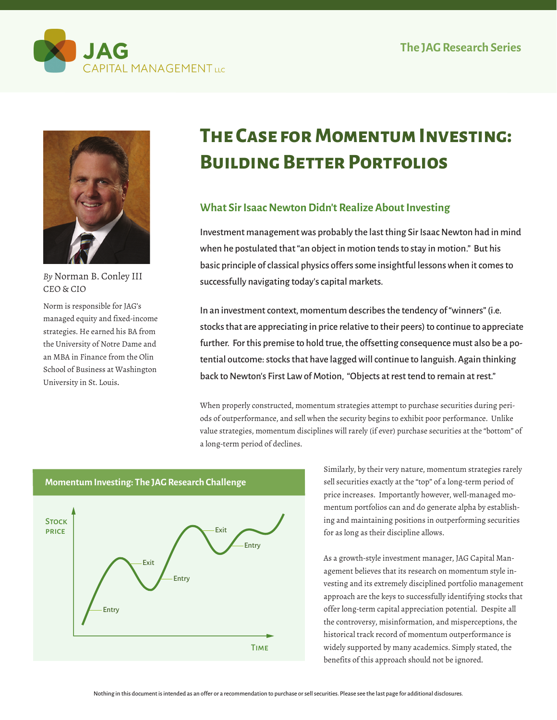



*By* Norman B. Conley III CEO & CIO

Norm is responsible for JAG's managed equity and fixed-income strategies. He earned his BA from the University of Notre Dame and an MBA in Finance from the Olin School of Business at Washington University in St. Louis.

# **The Case for Momentum Investing: Building Better Portfolios**

# **What Sir Isaac Newton Didn't Realize About Investing**

Investment management was probably the last thing Sir Isaac Newton had in mind when he postulated that "an object in motion tends to stay in motion." But his basic principle of classical physics offers some insightful lessons when it comes to successfully navigating today's capital markets.

In an investment context, momentum describes the tendency of "winners" (i.e. stocks that are appreciating in price relative to their peers) to continue to appreciate further. For this premise to hold true, the offsetting consequence must also be a potential outcome: stocks that have lagged will continue to languish. Again thinking back to Newton's First Law of Motion, "Objects at rest tend to remain at rest."

When properly constructed, momentum strategies attempt to purchase securities during periods of outperformance, and sell when the security begins to exhibit poor performance. Unlike value strategies, momentum disciplines will rarely (if ever) purchase securities at the "bottom" of a long-term period of declines.



Similarly, by their very nature, momentum strategies rarely sell securities exactly at the "top" of a long-term period of price increases. Importantly however, well-managed momentum portfolios can and do generate alpha by establishing and maintaining positions in outperforming securities for as long as their discipline allows.

As a growth-style investment manager, JAG Capital Management believes that its research on momentum style investing and its extremely disciplined portfolio management approach are the keys to successfully identifying stocks that offer long-term capital appreciation potential. Despite all the controversy, misinformation, and misperceptions, the historical track record of momentum outperformance is widely supported by many academics. Simply stated, the benefits of this approach should not be ignored.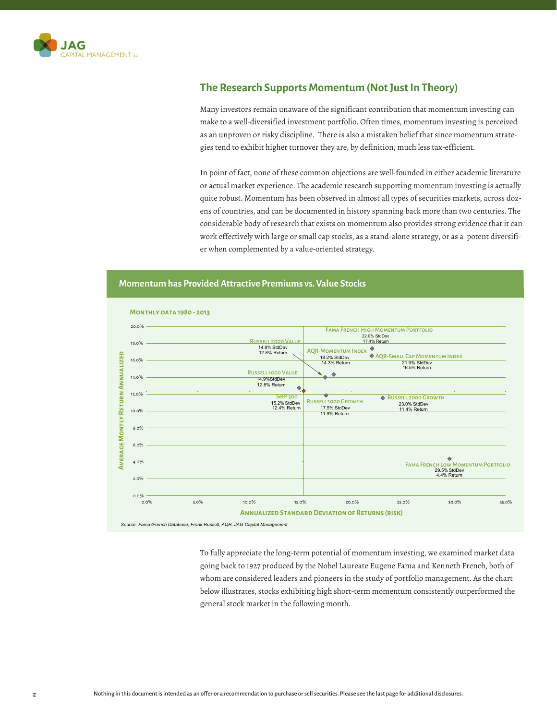

## **The Research Supports Momentum (Not Just In Theory)**

Many investors remain unaware of the significant contribution that momentum investing can make to a well-diversified investment portfolio. Often times, momentum investing is perceived as an unproven or risky discipline. There is also a mistaken belief that since momentum strategies tend to exhibit higher turnover they are, by definition, much less tax-efficient.

In point of fact, none of these common objections are well-founded in either academic literature or actual market experience. The academic research supporting momentum investing is actually quite robust. Momentum has been observed in almost all types of securities markets, across dozens of countries, and can be documented in history spanning back more than two centuries. The considerable body of research that exists on momentum also provides strong evidence that it can work effectively with large or small cap stocks, as a stand-alone strategy, or as a potent diversifier when complemented by a value-oriented strategy.

#### **Momentum has Provided Attractive Premiums vs. Value Stocks**



*Source: Fama /French Database, Frank Russell, AQR, JAG Capital Management* 

To fully appreciate the long-term potential of momentum investing, we examined market data going back to 1927 produced by the Nobel Laureate Eugene Fama and Kenneth French, both of whom are considered leaders and pioneers in the study of portfolio management. As the chart below illustrates, stocks exhibiting high short-term momentum consistently outperformed the general stock market in the following month.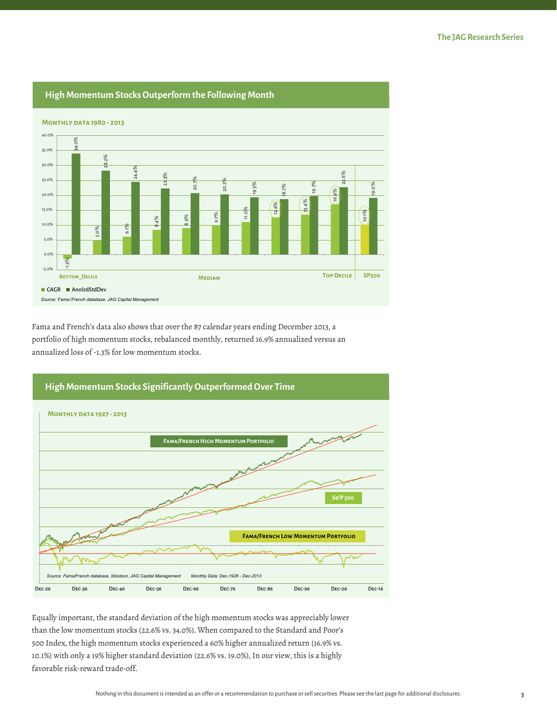

**High Momentum Stocks Outperform the Following Month**

Fama and French's data also shows that over the 87 calendar years ending December 2013, a portfolio of high momentum stocks, rebalanced monthly, returned 16.9% annualized versus an annualized loss of -1.3% for low momentum stocks.



Equally important, the standard deviation of the high momentum stocks was appreciably lower than the low momentum stocks (22.6% vs. 34.0%). When compared to the Standard and Poor's 500 Index, the high momentum stocks experienced a 60% higher annualized return (16.9% vs. 10.1%) with only a 19% higher standard deviation (22.6% vs. 19.0%), In our view, this is a highly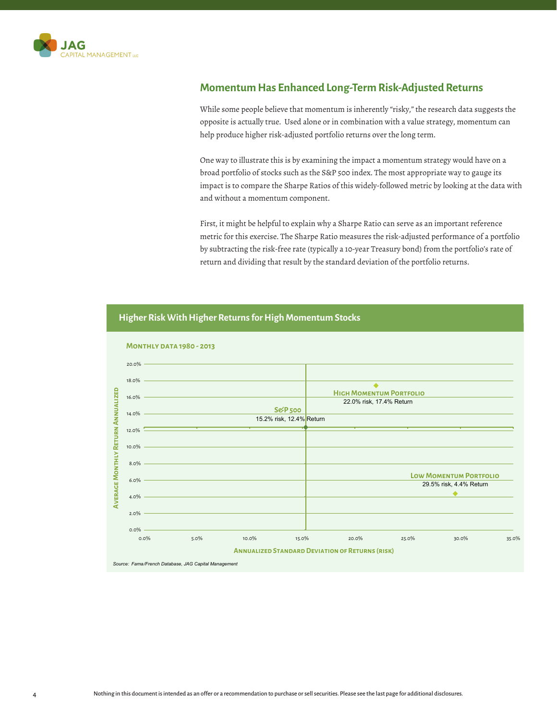

## **Momentum Has Enhanced Long-Term Risk-Adjusted Returns**

While some people believe that momentum is inherently "risky," the research data suggests the opposite is actually true. Used alone or in combination with a value strategy, momentum can help produce higher risk-adjusted portfolio returns over the long term.

One way to illustrate this is by examining the impact a momentum strategy would have on a broad portfolio of stocks such as the S&P 500 index. The most appropriate way to gauge its impact is to compare the Sharpe Ratios of this widely-followed metric by looking at the data with and without a momentum component.

First, it might be helpful to explain why a Sharpe Ratio can serve as an important reference metric for this exercise. The Sharpe Ratio measures the risk-adjusted performance of a portfolio by subtracting the risk-free rate (typically a 10-year Treasury bond) from the portfolio's rate of return and dividing that result by the standard deviation of the portfolio returns.

#### **Monthly data 1980 - 2013**  20.0% 18.0% **Average Monthly Return Annualized AVERAGE MONTHLY RETURN ANNUALIZED High Momentum Portfolio**  16.0% 22.0% risk, 17.4% Return **S&P 500**  14.0% 15.2% risk, 12.4% Return 12.0% 10.0% 8.0% **Low Momentum Portfolio**  6.0% 29.5% risk, 4.4% Return 4.0% 2.0% 0.0% 0.0% 5.0% 10.0% 15.0% 20.0% 25.0% 30.0% 35.0% **Annualized Standard Deviation of Returns (risk)**  *Source: Fama/French Database, JAG Capital Management*

#### **Higher Risk With Higher Returns for High Momentum Stocks**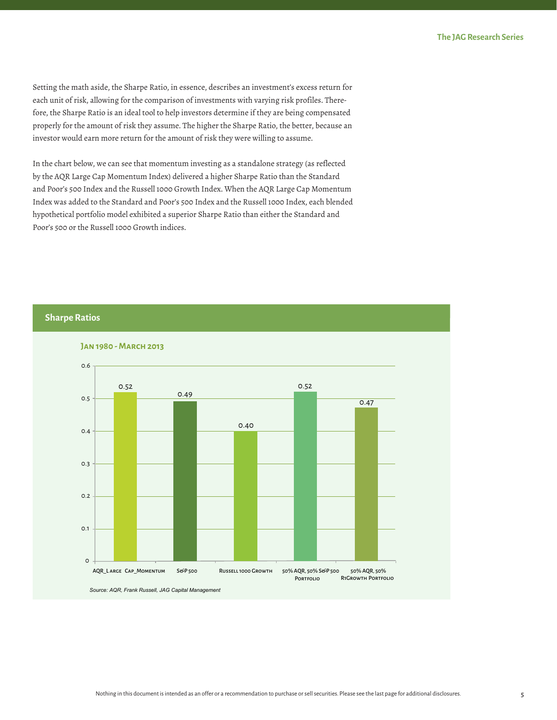Setting the math aside, the Sharpe Ratio, in essence, describes an investment's excess return for each unit of risk, allowing for the comparison of investments with varying risk profiles. Therefore, the Sharpe Ratio is an ideal tool to help investors determine if they are being compensated properly for the amount of risk they assume. The higher the Sharpe Ratio, the better, because an investor would earn more return for the amount of risk they were willing to assume.

In the chart below, we can see that momentum investing as a standalone strategy (as reflected by the AQR Large Cap Momentum Index) delivered a higher Sharpe Ratio than the Standard and Poor's 500 Index and the Russell 1000 Growth Index. When the AQR Large Cap Momentum Index was added to the Standard and Poor's 500 Index and the Russell 1000 Index, each blended hypothetical portfolio model exhibited a superior Sharpe Ratio than either the Standard and Poor's 500 or the Russell 1000 Growth indices.

#### **Sharpe Ratios**

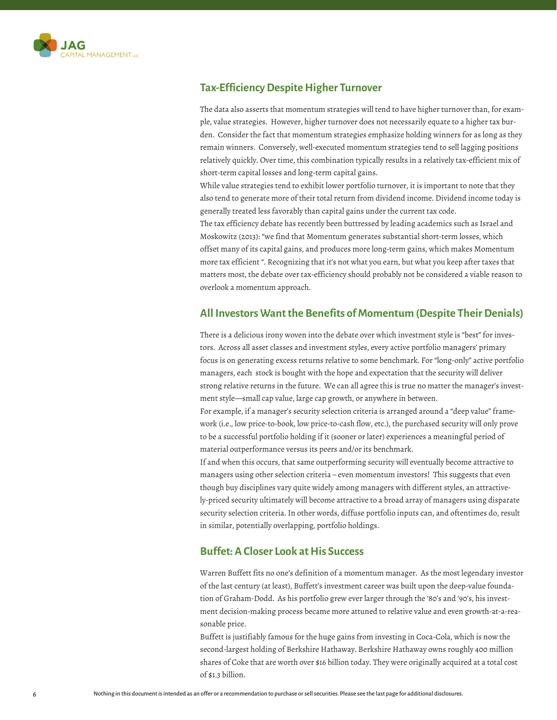

## **Tax-Efficiency Despite Higher Turnover**

The data also asserts that momentum strategies will tend to have higher turnover than, for example, value strategies. However, higher turnover does not necessarily equate to a higher tax burden. Consider the fact that momentum strategies emphasize holding winners for as long as they remain winners. Conversely, well-executed momentum strategies tend to sell lagging positions relatively quickly. Over time, this combination typically results in a relatively tax-efficient mix of short-term capital losses and long-term capital gains.

While value strategies tend to exhibit lower portfolio turnover, it is important to note that they also tend to generate more of their total return from dividend income. Dividend income today is generally treated less favorably than capital gains under the current tax code.

The tax efficiency debate has recently been buttressed by leading academics such as Israel and Moskowitz (2013): "we find that Momentum generates substantial short-term losses, which offset many of its capital gains, and produces more long-term gains, which makes Momentum more tax efficient ". Recognizing that it's not what you earn, but what you keep after taxes that matters most, the debate over tax-efficiency should probably not be considered a viable reason to overlook a momentum approach.

#### **All Investors Want the Benefits of Momentum (Despite Their Denials)**

There is a delicious irony woven into the debate over which investment style is "best" for investors. Across all asset classes and investment styles, every active portfolio managers' primary focus is on generating excess returns relative to some benchmark. For "long-only" active portfolio managers, each stock is bought with the hope and expectation that the security will deliver strong relative returns in the future. We can all agree this is true no matter the manager's investment style—small cap value, large cap growth, or anywhere in between.

For example, if a manager's security selection criteria is arranged around a "deep value" framework (i.e., low price-to-book, low price-to-cash flow, etc.), the purchased security will only prove to be a successful portfolio holding if it (sooner or later) experiences a meaningful period of material outperformance versus its peers and/or its benchmark.

If and when this occurs, that same outperforming security will eventually become attractive to managers using other selection criteria – even momentum investors! This suggests that even though buy disciplines vary quite widely among managers with different styles, an attractively-priced security ultimately will become attractive to a broad array of managers using disparate security selection criteria. In other words, diffuse portfolio inputs can, and oftentimes do, result in similar, potentially overlapping, portfolio holdings.

#### **Buffet: A Closer Look at His Success**

Warren Buffett fits no one's definition of a momentum manager. As the most legendary investor of the last century (at least), Buffett's investment career was built upon the deep-value foundation of Graham-Dodd. As his portfolio grew ever larger through the '80's and '90's, his investment decision-making process became more attuned to relative value and even growth-at-a-reasonable price.

Buffett is justifiably famous for the huge gains from investing in Coca-Cola, which is now the second-largest holding of Berkshire Hathaway. Berkshire Hathaway owns roughly 400 million shares of Coke that are worth over \$16 billion today. They were originally acquired at a total cost of \$1.3 billion.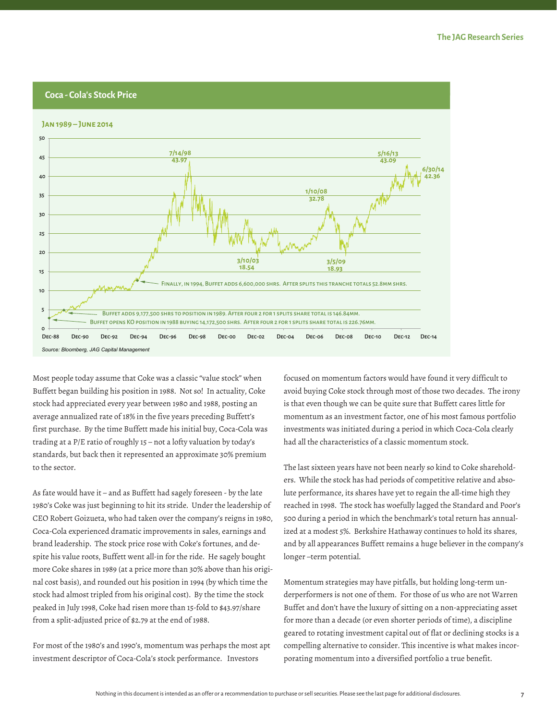

Most people today assume that Coke was a classic "value stock" when Buffett began building his position in 1988. Not so! In actuality, Coke stock had appreciated every year between 1980 and 1988, posting an average annualized rate of 18% in the five years preceding Buffett's first purchase. By the time Buffett made his initial buy, Coca-Cola was trading at a P/E ratio of roughly 15 – not a lofty valuation by today's standards, but back then it represented an approximate 30% premium to the sector.

As fate would have it – and as Buffett had sagely foreseen - by the late 1980's Coke was just beginning to hit its stride. Under the leadership of CEO Robert Goizueta, who had taken over the company's reigns in 1980, Coca-Cola experienced dramatic improvements in sales, earnings and brand leadership. The stock price rose with Coke's fortunes, and despite his value roots, Buffett went all-in for the ride. He sagely bought more Coke shares in 1989 (at a price more than 30% above than his original cost basis), and rounded out his position in 1994 (by which time the stock had almost tripled from his original cost). By the time the stock peaked in July 1998, Coke had risen more than 15-fold to \$43.97/share from a split-adjusted price of \$2.79 at the end of 1988.

For most of the 1980's and 1990's, momentum was perhaps the most apt investment descriptor of Coca-Cola's stock performance. Investors

focused on momentum factors would have found it very difficult to avoid buying Coke stock through most of those two decades. The irony is that even though we can be quite sure that Buffett cares little for momentum as an investment factor, one of his most famous portfolio investments was initiated during a period in which Coca-Cola clearly had all the characteristics of a classic momentum stock.

The last sixteen years have not been nearly so kind to Coke shareholders. While the stock has had periods of competitive relative and absolute performance, its shares have yet to regain the all-time high they reached in 1998. The stock has woefully lagged the Standard and Poor's 500 during a period in which the benchmark's total return has annualized at a modest 5%. Berkshire Hathaway continues to hold its shares, and by all appearances Buffett remains a huge believer in the company's longer –term potential.

Momentum strategies may have pitfalls, but holding long-term underperformers is not one of them. For those of us who are not Warren Buffet and don't have the luxury of sitting on a non-appreciating asset for more than a decade (or even shorter periods of time), a discipline geared to rotating investment capital out of flat or declining stocks is a compelling alternative to consider. This incentive is what makes incorporating momentum into a diversified portfolio a true benefit.